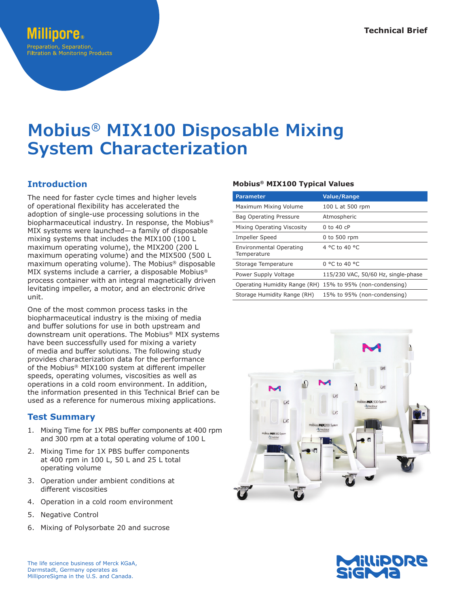# **Mobius® MIX100 Disposable Mixing System Characterization**

## **Introduction**

The need for faster cycle times and higher levels of operational flexibility has accelerated the adoption of single-use processing solutions in the biopharmaceutical industry. In response, the Mobius® MIX systems were launched—a family of disposable mixing systems that includes the MIX100 (100 L maximum operating volume), the MIX200 (200 L maximum operating volume) and the MIX500 (500 L maximum operating volume). The Mobius® disposable MIX systems include a carrier, a disposable Mobius® process container with an integral magnetically driven levitating impeller, a motor, and an electronic drive unit.

One of the most common process tasks in the biopharmaceutical industry is the mixing of media and buffer solutions for use in both upstream and downstream unit operations. The Mobius® MIX systems have been successfully used for mixing a variety of media and buffer solutions. The following study provides characterization data for the performance of the Mobius® MIX100 system at different impeller speeds, operating volumes, viscosities as well as operations in a cold room environment. In addition, the information presented in this Technical Brief can be used as a reference for numerous mixing applications.

## **Test Summary**

- 1. Mixing Time for 1X PBS buffer components at 400 rpm and 300 rpm at a total operating volume of 100 L
- 2. Mixing Time for 1X PBS buffer components at 400 rpm in 100 L, 50 L and 25 L total operating volume
- 3. Operation under ambient conditions at different viscosities
- 4. Operation in a cold room environment
- 5. Negative Control
- 6. Mixing of Polysorbate 20 and sucrose

### **Mobius® MIX100 Typical Values**

| Parameter                                     | <b>Value/Range</b>                                        |
|-----------------------------------------------|-----------------------------------------------------------|
| Maximum Mixing Volume                         | 100 L at 500 rpm                                          |
| Bag Operating Pressure                        | Atmospheric                                               |
| Mixing Operating Viscosity                    | 0 to 40 $cP$                                              |
| Impeller Speed                                | 0 to 500 rpm                                              |
| <b>Environmental Operating</b><br>Temperature | 4 °C to 40 °C                                             |
| Storage Temperature                           | $0^{\circ}$ C to 40 $^{\circ}$ C                          |
| Power Supply Voltage                          | 115/230 VAC, 50/60 Hz, single-phase                       |
|                                               | Operating Humidity Range (RH) 15% to 95% (non-condensing) |
| Storage Humidity Range (RH)                   | 15% to 95% (non-condensing)                               |



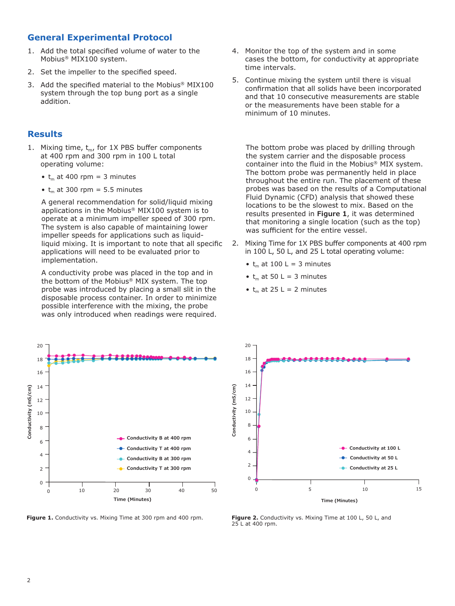## **General Experimental Protocol**

- 1. Add the total specified volume of water to the Mobius® MIX100 system.
- 2. Set the impeller to the specified speed.
- 3. Add the specified material to the Mobius® MIX100 system through the top bung port as a single addition.

### **Results**

- 1. Mixing time,  $t_m$ , for 1X PBS buffer components at 400 rpm and 300 rpm in 100 L total operating volume:
	- $t_m$  at 400 rpm = 3 minutes
	- $t_m$  at 300 rpm = 5.5 minutes

A general recommendation for solid/liquid mixing applications in the Mobius® MIX100 system is to operate at a minimum impeller speed of 300 rpm. The system is also capable of maintaining lower impeller speeds for applications such as liquidliquid mixing. It is important to note that all specific applications will need to be evaluated prior to implementation.

A conductivity probe was placed in the top and in the bottom of the Mobius® MIX system. The top probe was introduced by placing a small slit in the disposable process container. In order to minimize possible interference with the mixing, the probe was only introduced when readings were required.



**Figure 1.** Conductivity vs. Mixing Time at 300 rpm and 400 rpm. **Figure 2.** Conductivity vs. Mixing Time at 100 L, 50 L, and

- 4. Monitor the top of the system and in some cases the bottom, for conductivity at appropriate time intervals.
- 5. Continue mixing the system until there is visual confirmation that all solids have been incorporated and that 10 consecutive measurements are stable or the measurements have been stable for a minimum of 10 minutes.

The bottom probe was placed by drilling through the system carrier and the disposable process container into the fluid in the Mobius® MIX system. The bottom probe was permanently held in place throughout the entire run. The placement of these probes was based on the results of a Computational Fluid Dynamic (CFD) analysis that showed these locations to be the slowest to mix. Based on the results presented in **Figure 1**, it was determined that monitoring a single location (such as the top) was sufficient for the entire vessel.

- 2. Mixing Time for 1X PBS buffer components at 400 rpm in 100 L, 50 L, and 25 L total operating volume:
	- $t_m$  at 100 L = 3 minutes
	- $t_m$  at 50 L = 3 minutes
	- $t_m$  at 25 L = 2 minutes



25 L at 400 rpm.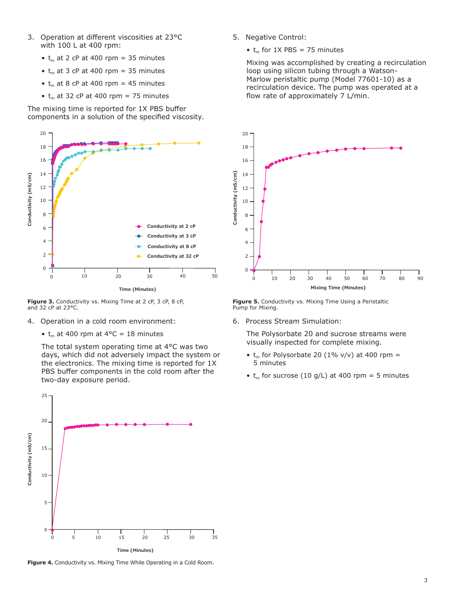- 3. Operation at different viscosities at 23°C with 100 L at 400 rpm:
	- $t_m$  at 2 cP at 400 rpm = 35 minutes
	- $t_m$  at 3 cP at 400 rpm = 35 minutes
	- $t_m$  at 8 cP at 400 rpm = 45 minutes
	- $t_m$  at 32 cP at 400 rpm = 75 minutes

The mixing time is reported for 1X PBS buffer components in a solution of the specified viscosity.



Figure 3. Conductivity vs. Mixing Time at 2 cP, 3 cP, 8 cP, and 32 cP at 23°C.

- 4. Operation in a cold room environment:
	- $t_m$  at 400 rpm at 4°C = 18 minutes

The total system operating time at 4°C was two days, which did not adversely impact the system or the electronics. The mixing time is reported for 1X PBS buffer components in the cold room after the two-day exposure period.



**Figure 4.** Conductivity vs. Mixing Time While Operating in a Cold Room.

5. Negative Control:

•  $t_m$  for 1X PBS = 75 minutes

Mixing was accomplished by creating a recirculation loop using silicon tubing through a Watson-Marlow peristaltic pump (Model 77601-10) as a recirculation device. The pump was operated at a flow rate of approximately 7 L/min.



**Figure 5.** Conductivity vs. Mixing Time Using a Peristaltic

6. Process Stream Simulation:

The Polysorbate 20 and sucrose streams were visually inspected for complete mixing.

- $t_m$  for Polysorbate 20 (1% v/v) at 400 rpm = 5 minutes
- $t_m$  for sucrose (10 g/L) at 400 rpm = 5 minutes